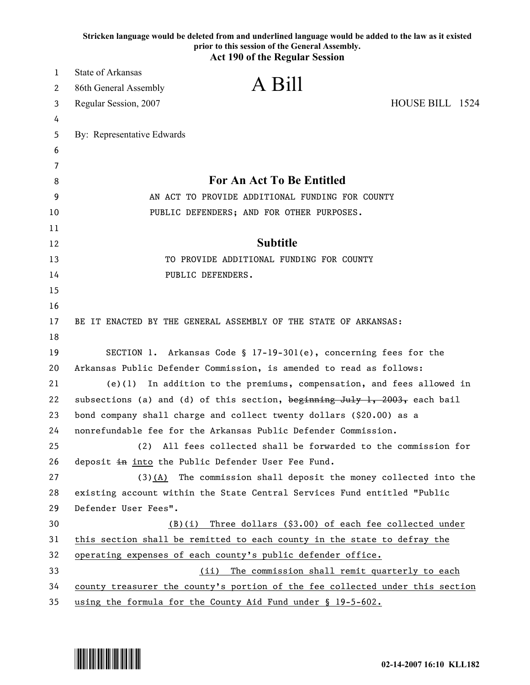| Stricken language would be deleted from and underlined language would be added to the law as it existed<br>prior to this session of the General Assembly.<br><b>Act 190 of the Regular Session</b> |
|----------------------------------------------------------------------------------------------------------------------------------------------------------------------------------------------------|
| State of Arkansas                                                                                                                                                                                  |
| A Bill<br>86th General Assembly                                                                                                                                                                    |
| HOUSE BILL 1524<br>Regular Session, 2007                                                                                                                                                           |
|                                                                                                                                                                                                    |
| By: Representative Edwards                                                                                                                                                                         |
|                                                                                                                                                                                                    |
|                                                                                                                                                                                                    |
| For An Act To Be Entitled                                                                                                                                                                          |
| AN ACT TO PROVIDE ADDITIONAL FUNDING FOR COUNTY                                                                                                                                                    |
| PUBLIC DEFENDERS; AND FOR OTHER PURPOSES.                                                                                                                                                          |
|                                                                                                                                                                                                    |
| <b>Subtitle</b>                                                                                                                                                                                    |
| TO PROVIDE ADDITIONAL FUNDING FOR COUNTY                                                                                                                                                           |
| PUBLIC DEFENDERS.                                                                                                                                                                                  |
|                                                                                                                                                                                                    |
|                                                                                                                                                                                                    |
| BE IT ENACTED BY THE GENERAL ASSEMBLY OF THE STATE OF ARKANSAS:                                                                                                                                    |
|                                                                                                                                                                                                    |
| SECTION 1. Arkansas Code § 17-19-301(e), concerning fees for the                                                                                                                                   |
| Arkansas Public Defender Commission, is amended to read as follows:                                                                                                                                |
| In addition to the premiums, compensation, and fees allowed in<br>$(e)$ (1)                                                                                                                        |
| subsections (a) and (d) of this section, beginning July 1, 2003, each bail                                                                                                                         |
| bond company shall charge and collect twenty dollars (\$20.00) as a                                                                                                                                |
| nonrefundable fee for the Arkansas Public Defender Commission.                                                                                                                                     |
| All fees collected shall be forwarded to the commission for<br>(2)                                                                                                                                 |
| deposit in into the Public Defender User Fee Fund.                                                                                                                                                 |
| (3)(A) The commission shall deposit the money collected into the                                                                                                                                   |
| existing account within the State Central Services Fund entitled "Public                                                                                                                           |
| Defender User Fees".                                                                                                                                                                               |
| $(B)(i)$ Three dollars (\$3.00) of each fee collected under                                                                                                                                        |
| this section shall be remitted to each county in the state to defray the                                                                                                                           |
| operating expenses of each county's public defender office.                                                                                                                                        |
| (ii)<br>The commission shall remit quarterly to each                                                                                                                                               |
| county treasurer the county's portion of the fee collected under this section                                                                                                                      |
|                                                                                                                                                                                                    |